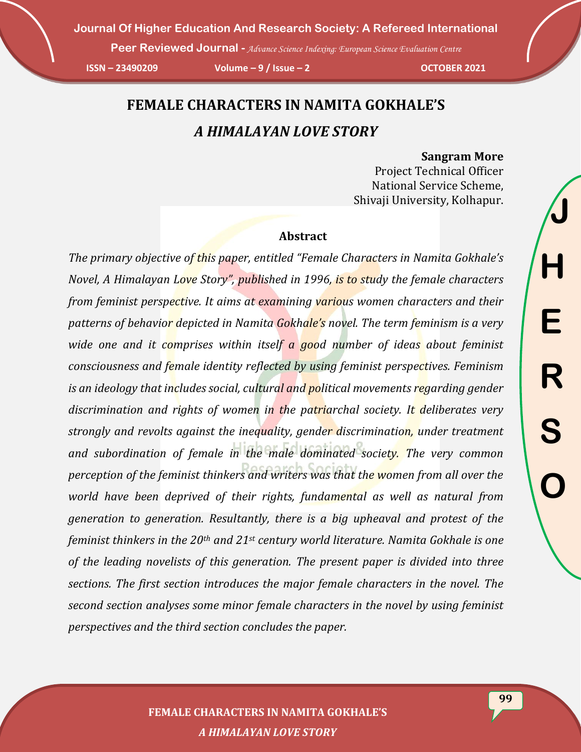**Peer Reviewed Journal -** *Advance Science Indexing: European Science Evaluation Centre* 

**ISSN – 23490209 Volume – 9 / Issue – 2 OCTOBER 2021**

## **FEMALE CHARACTERS IN NAMITA GOKHALE'S** *A HIMALAYAN LOVE STORY*

#### **Sangram More**

Project Technical Officer National Service Scheme, Shivaji University, Kolhapur.

#### **Abstract**

*The primary objective of this paper, entitled "Female Characters in Namita Gokhale's Novel, A Himalayan Love Story", published in 1996, is to study the female characters from feminist perspective. It aims at examining various women characters and their patterns of behavior depicted in Namita Gokhale's novel. The term feminism is a very wide one and it comprises within itself a good number of ideas about feminist consciousness and female identity reflected by using feminist perspectives. Feminism is an ideology that includes social, cultural and political movements regarding gender discrimination and rights of women in the patriarchal society. It deliberates very strongly and revolts against the inequality, gender discrimination, under treatment*  and subordination of female in the male dominated society. The very common *perception of the feminist thinkers and writers was that the women from all over the world have been deprived of their rights, fundamental as well as natural from generation to generation. Resultantly, there is a big upheaval and protest of the feminist thinkers in the 20th and 21st century world literature. Namita Gokhale is one of the leading novelists of this generation. The present paper is divided into three sections. The first section introduces the major female characters in the novel. The second section analyses some minor female characters in the novel by using feminist perspectives and the third section concludes the paper.*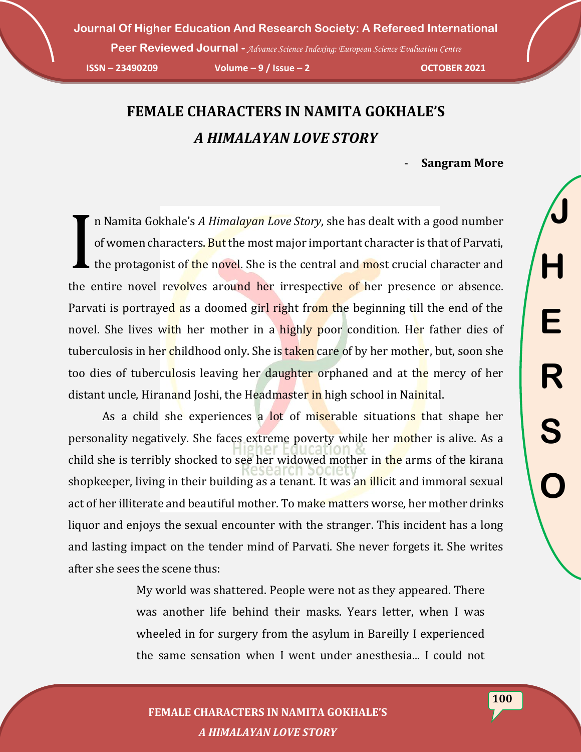**Peer Reviewed Journal -** *Advance Science Indexing: European Science Evaluation Centre* 

**ISSN – 23490209 Volume – 9 / Issue – 2 OCTOBER 2021**

# **FEMALE CHARACTERS IN NAMITA GOKHALE'S** *A HIMALAYAN LOVE STORY*

- **Sangram More**

n Namita Gokhale's *A Himalayan Love Story*, she has dealt with a good number of women characters. But the most major important character is that of Parvati, the protagonist of the novel. She is the central and most crucial character and the entire novel revolves around her irrespective of her presence or absence. Parvati is portrayed as a doomed girl right from the beginning till the end of the novel. She lives with her mother in a highly poor condition. Her father dies of tuberculosis in her childhood only. She is taken care of by her mother, but, soon she too dies of tuberculosis leaving her daughter orphaned and at the mercy of her distant uncle, Hiranand Joshi, the Headmaster in high school in Nainital. I

As a child she experiences a lot of miserable situations that shape her personality negatively. She faces extreme poverty while her mother is alive. As a child she is terribly shocked to see her widowed mother in the arms of the kirana shopkeeper, living in their building as a tenant. It was an illicit and immoral sexual act of her illiterate and beautiful mother. To make matters worse, her mother drinks liquor and enjoys the sexual encounter with the stranger. This incident has a long and lasting impact on the tender mind of Parvati. She never forgets it. She writes after she sees the scene thus:

> My world was shattered. People were not as they appeared. There was another life behind their masks. Years letter, when I was wheeled in for surgery from the asylum in Bareilly I experienced the same sensation when I went under anesthesia... I could not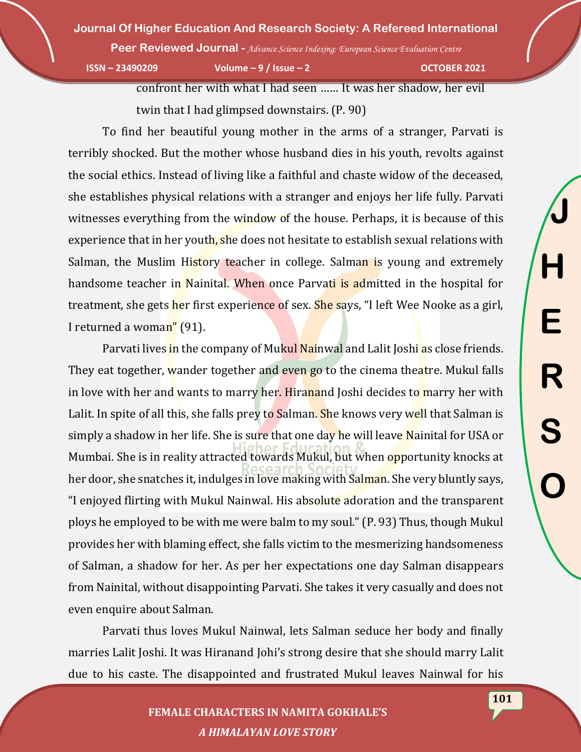**Peer Reviewed Journal -** *Advance Science Indexing: European Science Evaluation Centre* 

**ISSN – 23490209 Volume – 9 / Issue – 2 OCTOBER 2021**

**J**

**H**

**E**

**R**

**S**

**O**

confront her with what I had seen …… It was her shadow, her evil

twin that I had glimpsed downstairs. (P. 90)

To find her beautiful young mother in the arms of a stranger, Parvati is terribly shocked. But the mother whose husband dies in his youth, revolts against the social ethics. Instead of living like a faithful and chaste widow of the deceased, she establishes physical relations with a stranger and enjoys her life fully. Parvati witnesses everything from the window of the house. Perhaps, it is because of this experience that in her youth, she does not hesitate to establish sexual relations with Salman, the Muslim History teacher in college. Salman is young and extremely handsome teacher in Nainital. When once Parvati is admitted in the hospital for treatment, she gets her first experience of sex. She says, "I left Wee Nooke as a girl, I returned a woman" (91).

Parvati lives in the company of Mukul Nainwal and Lalit Joshi as close friends. They eat together, wander together and even go to the cinema theatre. Mukul falls in love with her and wants to marry her. Hiranand Joshi decides to marry her with Lalit. In spite of all this, she falls prey to Salman. She knows very well that Salman is simply a shadow in her life. She is sure that one day he will leave Nainital for USA or Mumbai. She is in reality attracted towards Mukul, but when opportunity knocks at her door, she snatches it, indulges in love making with Salman. She very bluntly says, "I enjoyed flirting with Mukul Nainwal. His absolute adoration and the transparent ploys he employed to be with me were balm to my soul." (P. 93) Thus, though Mukul provides her with blaming effect, she falls victim to the mesmerizing handsomeness of Salman, a shadow for her. As per her expectations one day Salman disappears from Nainital, without disappointing Parvati. She takes it very casually and does not even enquire about Salman.

Parvati thus loves Mukul Nainwal, lets Salman seduce her body and finally marries Lalit Joshi. It was Hiranand Johi's strong desire that she should marry Lalit due to his caste. The disappointed and frustrated Mukul leaves Nainwal for his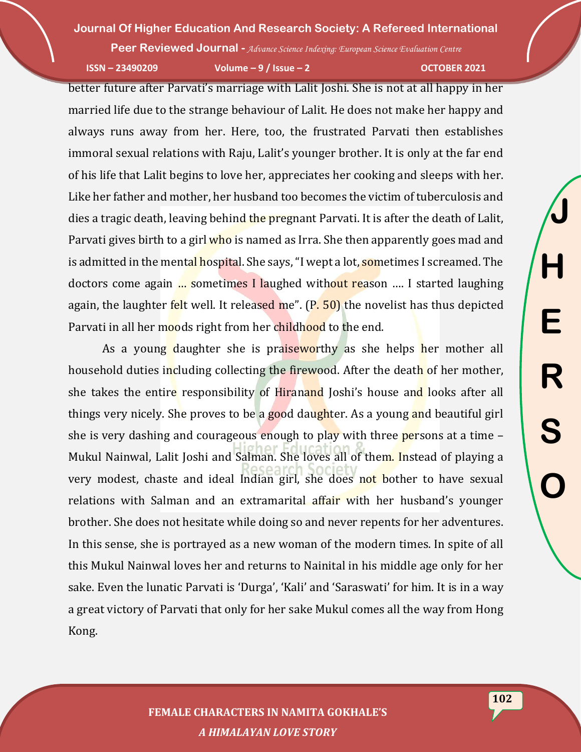**Peer Reviewed Journal -** *Advance Science Indexing: European Science Evaluation Centre* 

**ISSN – 23490209 Volume – 9 / Issue – 2 OCTOBER 2021**

better future after Parvati's marriage with Lalit Joshi. She is not at all happy in her married life due to the strange behaviour of Lalit. He does not make her happy and always runs away from her. Here, too, the frustrated Parvati then establishes immoral sexual relations with Raju, Lalit's younger brother. It is only at the far end of his life that Lalit begins to love her, appreciates her cooking and sleeps with her. Like her father and mother, her husband too becomes the victim of tuberculosis and dies a tragic death, leaving behind the pregnant Parvati. It is after the death of Lalit, Parvati gives birth to a girl who is named as Irra. She then apparently goes mad and is admitted in the mental hospital. She says, "I wept a lot, sometimes I screamed. The doctors come again … sometimes I laughed without reason …. I started laughing again, the laughter felt well. It released me".  $(P. 50)$  the novelist has thus depicted Parvati in all her moods right from her childhood to the end.

As a young daughter she is praiseworthy as she helps her mother all household duties including collecting the firewood. After the death of her mother, she takes the entire responsibility of Hiranand Joshi's house and looks after all things very nicely. She proves to be a good daughter. As a young and beautiful girl she is very dashing and courageous enough to play with three **persons** at a time  $-$ Mukul Nainwal, Lalit Joshi and Salman. She loves all of them. Instead of playing a very modest, chaste and ideal Indian girl, she does not bother to have sexual relations with Salman and an extramarital affair with her husband's younger brother. She does not hesitate while doing so and never repents for her adventures. In this sense, she is portrayed as a new woman of the modern times. In spite of all this Mukul Nainwal loves her and returns to Nainital in his middle age only for her sake. Even the lunatic Parvati is 'Durga', 'Kali' and 'Saraswati' for him. It is in a way a great victory of Parvati that only for her sake Mukul comes all the way from Hong Kong.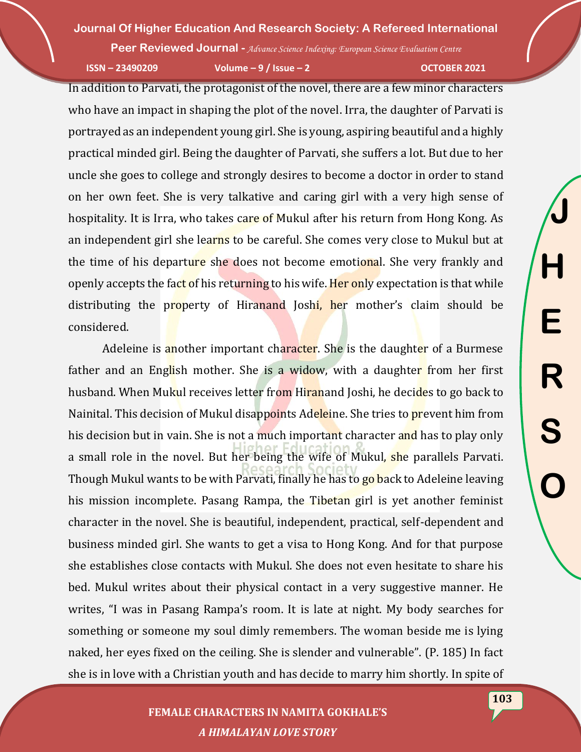**Peer Reviewed Journal -** *Advance Science Indexing: European Science Evaluation Centre* 

**ISSN – 23490209 Volume – 9 / Issue – 2 OCTOBER 2021**

In addition to Parvati, the protagonist of the novel, there are a few minor characters who have an impact in shaping the plot of the novel. Irra, the daughter of Parvati is portrayed as an independent young girl. She is young, aspiring beautiful and a highly practical minded girl. Being the daughter of Parvati, she suffers a lot. But due to her uncle she goes to college and strongly desires to become a doctor in order to stand on her own feet. She is very talkative and caring girl with a very high sense of hospitality. It is Irra, who takes care of Mukul after his return from Hong Kong. As an independent girl she learns to be careful. She comes very close to Mukul but at the time of his departure she does not become emotional. She very frankly and openly accepts the fact of his returning to his wife. Her only expectation is that while distributing the property of Hiranand Joshi, her mother's claim should be considered.

Adeleine is another important character. She is the daughter of a Burmese father and an English mother. She is a widow, with a daughter from her first husband. When Mukul receives letter from Hiranand Joshi, he decides to go back to Nainital. This decision of Mukul disappoints Adeleine. She tries to prevent him from his decision but in vain. She is not a much important character and has to play only a small role in the novel. But her being the wife of Mukul, she parallels Parvati. Though Mukul wants to be with Parvati, finally he has to go back to Adeleine leaving his mission incomplete. Pasang Rampa, the Tibetan girl is yet another feminist character in the novel. She is beautiful, independent, practical, self-dependent and business minded girl. She wants to get a visa to Hong Kong. And for that purpose she establishes close contacts with Mukul. She does not even hesitate to share his bed. Mukul writes about their physical contact in a very suggestive manner. He writes, "I was in Pasang Rampa's room. It is late at night. My body searches for something or someone my soul dimly remembers. The woman beside me is lying naked, her eyes fixed on the ceiling. She is slender and vulnerable". (P. 185) In fact she is in love with a Christian youth and has decide to marry him shortly. In spite of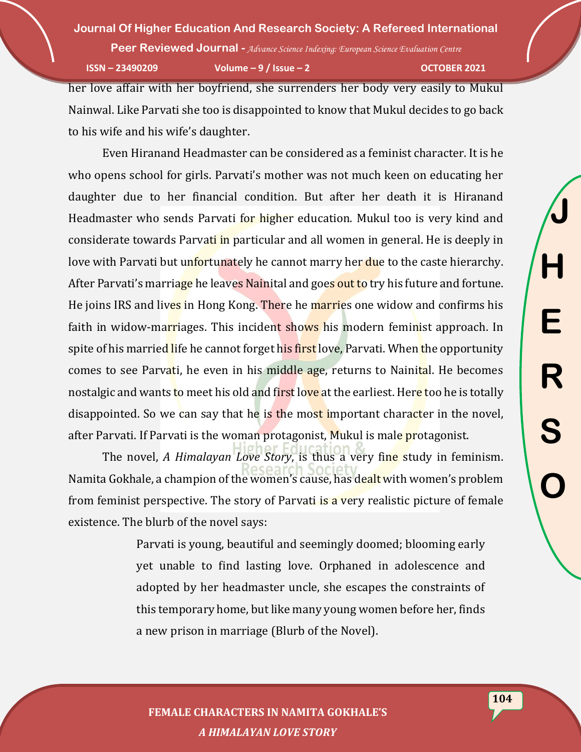**Peer Reviewed Journal -** *Advance Science Indexing: European Science Evaluation Centre* 

**ISSN – 23490209 Volume – 9 / Issue – 2 OCTOBER 2021**

her love affair with her boyfriend, she surrenders her body very easily to Mukul Nainwal. Like Parvati she too is disappointed to know that Mukul decides to go back to his wife and his wife's daughter.

Even Hiranand Headmaster can be considered as a feminist character. It is he who opens school for girls. Parvati's mother was not much keen on educating her daughter due to her financial condition. But after her death it is Hiranand Headmaster who sends Parvati for higher education. Mukul too is very kind and considerate towards Parvati in particular and all women in general. He is deeply in love with Parvati but unfortunately he cannot marry her due to the caste hierarchy. After Parvati's marriage he leaves Nainital and goes out to try his future and fortune. He joins IRS and lives in Hong Kong. There he marries one widow and confirms his faith in widow-marriages. This incident shows his modern feminist approach. In spite of his married life he cannot forget his first love, Parvati. When the opportunity comes to see Parvati, he even in his middle age, returns to Nainital. He becomes nostalgic and wants to meet his old and first love at the earliest. Here too he is totally disappointed. So we can say that he is the most important character in the novel, after Parvati. If Parvati is the woman protagonist, Mukul is male protagonist.

The novel, *A Himalayan Love Story*, is thus a very fine study in feminism. Namita Gokhale, a champion of the women's cause, has dealt with women's problem from feminist perspective. The story of Parvati is a very realistic picture of female existence. The blurb of the novel says:

> Parvati is young, beautiful and seemingly doomed; blooming early yet unable to find lasting love. Orphaned in adolescence and adopted by her headmaster uncle, she escapes the constraints of this temporary home, but like many young women before her, finds a new prison in marriage (Blurb of the Novel).